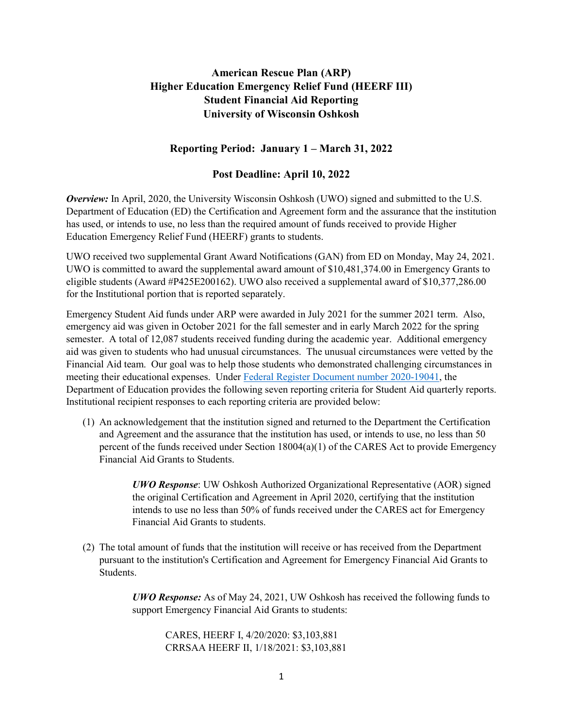## **American Rescue Plan (ARP) Higher Education Emergency Relief Fund (HEERF III) Student Financial Aid Reporting University of Wisconsin Oshkosh**

## **Reporting Period: January 1 – March 31, 2022**

## **Post Deadline: April 10, 2022**

*Overview:* In April, 2020, the University Wisconsin Oshkosh (UWO) signed and submitted to the U.S. Department of Education (ED) the Certification and Agreement form and the assurance that the institution has used, or intends to use, no less than the required amount of funds received to provide Higher Education Emergency Relief Fund (HEERF) grants to students.

UWO received two supplemental Grant Award Notifications (GAN) from ED on Monday, May 24, 2021. UWO is committed to award the supplemental award amount of \$10,481,374.00 in Emergency Grants to eligible students (Award #P425E200162). UWO also received a supplemental award of \$10,377,286.00 for the Institutional portion that is reported separately.

Emergency Student Aid funds under ARP were awarded in July 2021 for the summer 2021 term. Also, emergency aid was given in October 2021 for the fall semester and in early March 2022 for the spring semester. A total of 12,087 students received funding during the academic year. Additional emergency aid was given to students who had unusual circumstances. The unusual circumstances were vetted by the Financial Aid team. Our goal was to help those students who demonstrated challenging circumstances in meeting their educational expenses. Under [Federal Register Document number 2020-19041,](https://www.federalregister.gov/documents/2020/08/31/2020-19041/notice-of-public-posting-requirement-of-grant-information-for-higher-education-emergency-relief-fund) the Department of Education provides the following seven reporting criteria for Student Aid quarterly reports. Institutional recipient responses to each reporting criteria are provided below:

(1) An acknowledgement that the institution signed and returned to the Department the Certification and Agreement and the assurance that the institution has used, or intends to use, no less than 50 percent of the funds received under Section 18004(a)(1) of the CARES Act to provide Emergency Financial Aid Grants to Students.

> *UWO Response*: UW Oshkosh Authorized Organizational Representative (AOR) signed the original Certification and Agreement in April 2020, certifying that the institution intends to use no less than 50% of funds received under the CARES act for Emergency Financial Aid Grants to students.

(2) The total amount of funds that the institution will receive or has received from the Department pursuant to the institution's Certification and Agreement for Emergency Financial Aid Grants to Students.

> *UWO Response:* As of May 24, 2021, UW Oshkosh has received the following funds to support Emergency Financial Aid Grants to students:

CARES, HEERF I, 4/20/2020: \$3,103,881 CRRSAA HEERF II, 1/18/2021: \$3,103,881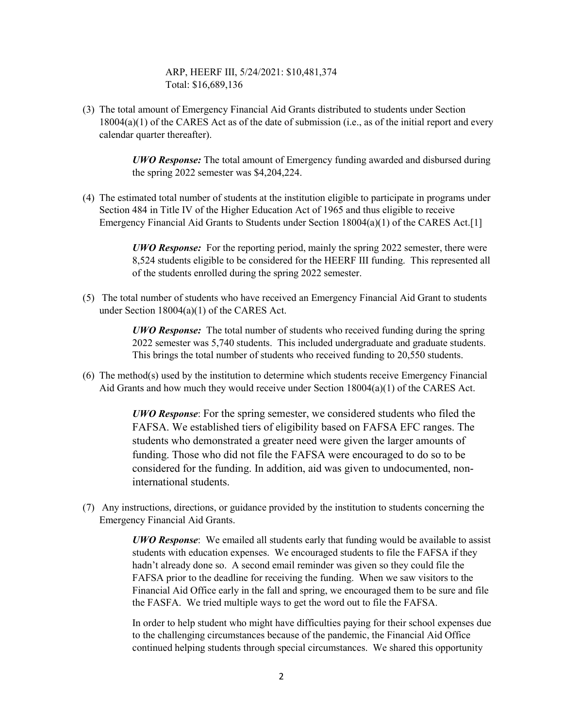ARP, HEERF III, 5/24/2021: \$10,481,374 Total: \$16,689,136

(3) The total amount of Emergency Financial Aid Grants distributed to students under Section 18004(a)(1) of the CARES Act as of the date of submission (i.e., as of the initial report and every calendar quarter thereafter).

> *UWO Response:* The total amount of Emergency funding awarded and disbursed during the spring 2022 semester was \$4,204,224.

(4) The estimated total number of students at the institution eligible to participate in programs under Section 484 in Title IV of the Higher Education Act of 1965 and thus eligible to receive Emergency Financial Aid Grants to Students under Section 18004(a)(1) of the CARES Act.[1]

> *UWO Response:* For the reporting period, mainly the spring 2022 semester, there were 8,524 students eligible to be considered for the HEERF III funding. This represented all of the students enrolled during the spring 2022 semester.

(5) The total number of students who have received an Emergency Financial Aid Grant to students under Section 18004(a)(1) of the CARES Act.

> *UWO Response:* The total number of students who received funding during the spring 2022 semester was 5,740 students. This included undergraduate and graduate students. This brings the total number of students who received funding to 20,550 students.

(6) The method(s) used by the institution to determine which students receive Emergency Financial Aid Grants and how much they would receive under Section  $18004(a)(1)$  of the CARES Act.

> *UWO Response*: For the spring semester, we considered students who filed the FAFSA. We established tiers of eligibility based on FAFSA EFC ranges. The students who demonstrated a greater need were given the larger amounts of funding. Those who did not file the FAFSA were encouraged to do so to be considered for the funding. In addition, aid was given to undocumented, noninternational students.

(7) Any instructions, directions, or guidance provided by the institution to students concerning the Emergency Financial Aid Grants.

> *UWO Response*: We emailed all students early that funding would be available to assist students with education expenses. We encouraged students to file the FAFSA if they hadn't already done so. A second email reminder was given so they could file the FAFSA prior to the deadline for receiving the funding. When we saw visitors to the Financial Aid Office early in the fall and spring, we encouraged them to be sure and file the FASFA. We tried multiple ways to get the word out to file the FAFSA.

> In order to help student who might have difficulties paying for their school expenses due to the challenging circumstances because of the pandemic, the Financial Aid Office continued helping students through special circumstances. We shared this opportunity